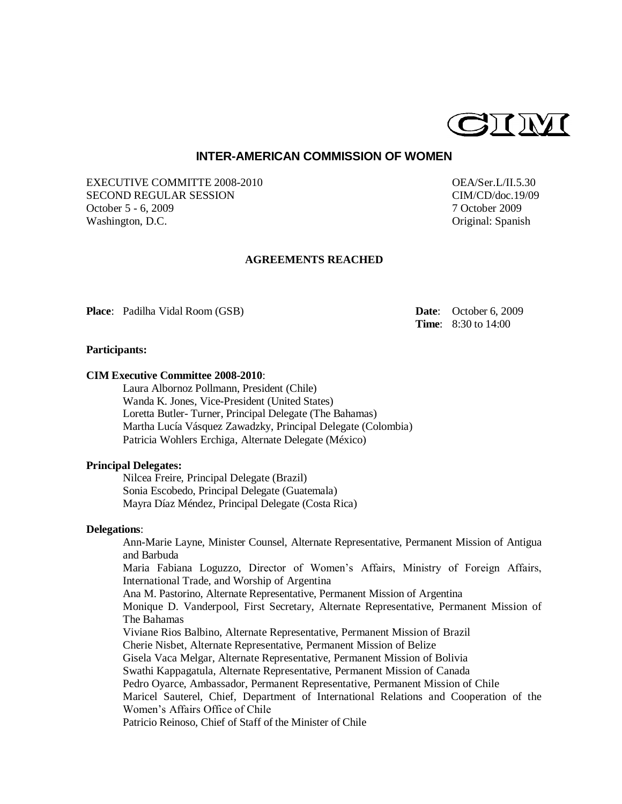

# **INTER-AMERICAN COMMISSION OF WOMEN**

EXECUTIVE COMMITTE 2008-2010 CEA/Ser.L/II.5.30 SECOND REGULAR SESSION CIM/CD/doc.19/09 October 5 - 6, 2009 7 October 2009 Washington, D.C. **Cancer and Contact Contact Contact Contact Contact Contact Contact Contact Contact Contact Contact Contact Contact Contact Contact Contact Contact Contact Contact Contact Contact Contact Contact Contact C** 

## **AGREEMENTS REACHED**

**Place**: Padilha Vidal Room (GSB) **Date**: October 6, 2009

**Time**: 8:30 to 14:00

### **Participants:**

### **CIM Executive Committee 2008-2010**:

Laura Albornoz Pollmann, President (Chile) Wanda K. Jones, Vice-President (United States) Loretta Butler- Turner, Principal Delegate (The Bahamas) Martha Lucía Vásquez Zawadzky, Principal Delegate (Colombia) Patricia Wohlers Erchiga, Alternate Delegate (México)

### **Principal Delegates:**

Nilcea Freire, Principal Delegate (Brazil) Sonia Escobedo, Principal Delegate (Guatemala) Mayra Díaz Méndez, Principal Delegate (Costa Rica)

## **Delegations**:

Ann-Marie Layne, Minister Counsel, Alternate Representative, Permanent Mission of Antigua and Barbuda Maria Fabiana Loguzzo, Director of Women's Affairs, Ministry of Foreign Affairs, International Trade, and Worship of Argentina Ana M. Pastorino, Alternate Representative, Permanent Mission of Argentina Monique D. Vanderpool, First Secretary, Alternate Representative, Permanent Mission of The Bahamas Viviane Rios Balbino, Alternate Representative, Permanent Mission of Brazil Cherie Nisbet, Alternate Representative, Permanent Mission of Belize Gisela Vaca Melgar, Alternate Representative, Permanent Mission of Bolivia Swathi Kappagatula, Alternate Representative, Permanent Mission of Canada Pedro Oyarce, Ambassador, Permanent Representative, Permanent Mission of Chile Maricel Sauterel, Chief, Department of International Relations and Cooperation of the Women's Affairs Office of Chile Patricio Reinoso, Chief of Staff of the Minister of Chile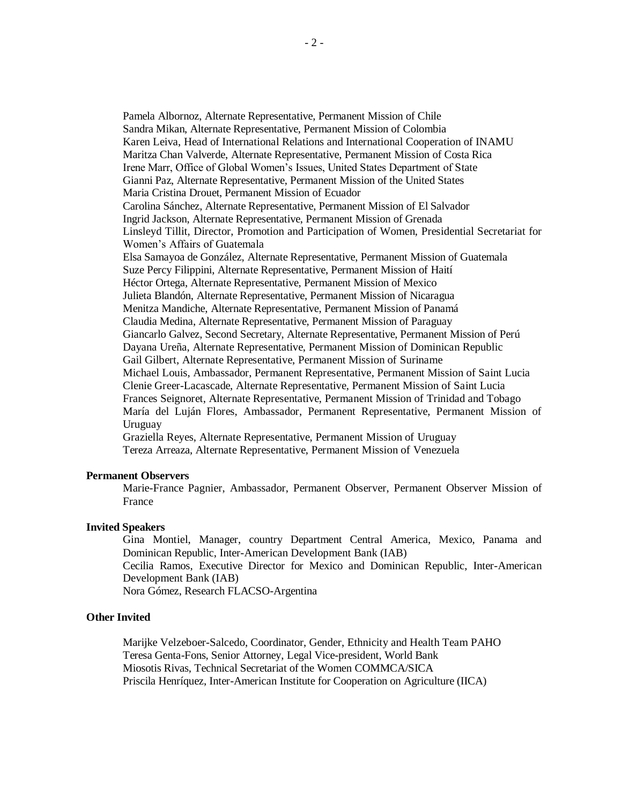Pamela Albornoz, Alternate Representative, Permanent Mission of Chile Sandra Mikan, Alternate Representative, Permanent Mission of Colombia Karen Leiva, Head of International Relations and International Cooperation of INAMU Maritza Chan Valverde, Alternate Representative, Permanent Mission of Costa Rica Irene Marr, Office of Global Women's Issues, United States Department of State Gianni Paz, Alternate Representative, Permanent Mission of the United States Maria Cristina Drouet, Permanent Mission of Ecuador Carolina Sánchez, Alternate Representative, Permanent Mission of El Salvador Ingrid Jackson, Alternate Representative, Permanent Mission of Grenada Linsleyd Tillit, Director, Promotion and Participation of Women, Presidential Secretariat for Women's Affairs of Guatemala Elsa Samayoa de González, Alternate Representative, Permanent Mission of Guatemala Suze Percy Filippini, Alternate Representative, Permanent Mission of Haití Héctor Ortega, Alternate Representative, Permanent Mission of Mexico Julieta Blandón, Alternate Representative, Permanent Mission of Nicaragua Menitza Mandiche, Alternate Representative, Permanent Mission of Panamá Claudia Medina, Alternate Representative, Permanent Mission of Paraguay Giancarlo Galvez, Second Secretary, Alternate Representative, Permanent Mission of Perú Dayana Ureña, Alternate Representative, Permanent Mission of Dominican Republic Gail Gilbert, Alternate Representative, Permanent Mission of Suriname Michael Louis, Ambassador, Permanent Representative, Permanent Mission of Saint Lucia Clenie Greer-Lacascade, Alternate Representative, Permanent Mission of Saint Lucia Frances Seignoret, Alternate Representative, Permanent Mission of Trinidad and Tobago María del Luján Flores, Ambassador, Permanent Representative, Permanent Mission of Uruguay

Graziella Reyes, Alternate Representative, Permanent Mission of Uruguay Tereza Arreaza, Alternate Representative, Permanent Mission of Venezuela

# **Permanent Observers**

Marie-France Pagnier, Ambassador, Permanent Observer, Permanent Observer Mission of France

### **Invited Speakers**

Gina Montiel, Manager, country Department Central America, Mexico, Panama and Dominican Republic, Inter-American Development Bank (IAB) Cecilia Ramos, Executive Director for Mexico and Dominican Republic, Inter-American Development Bank (IAB) Nora Gómez, Research FLACSO-Argentina

### **Other Invited**

Marijke Velzeboer-Salcedo, Coordinator, Gender, Ethnicity and Health Team PAHO Teresa Genta-Fons, Senior Attorney, Legal Vice-president, World Bank Miosotis Rivas, Technical Secretariat of the Women COMMCA/SICA Priscila Henríquez, Inter-American Institute for Cooperation on Agriculture (IICA)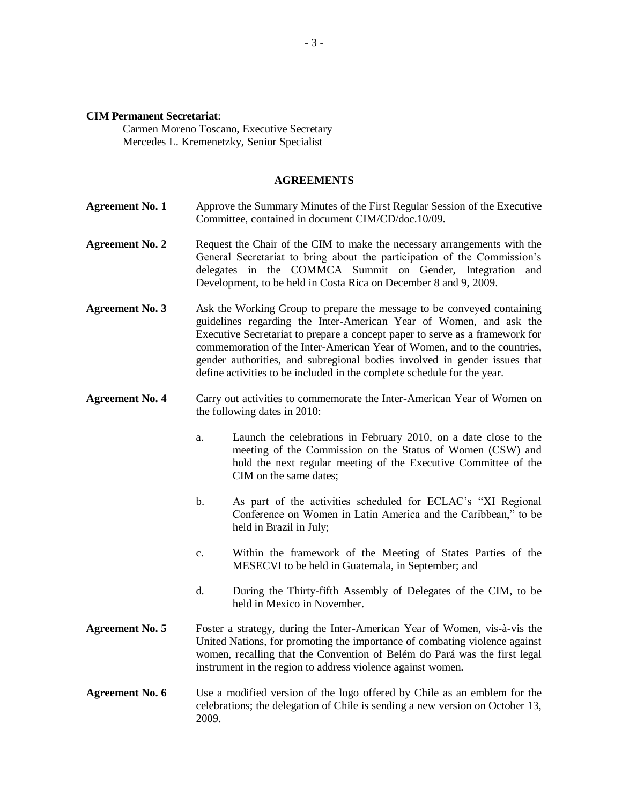#### **CIM Permanent Secretariat**:

Carmen Moreno Toscano, Executive Secretary Mercedes L. Kremenetzky, Senior Specialist

### **AGREEMENTS**

- **Agreement No. 1** Approve the Summary Minutes of the First Regular Session of the Executive Committee, contained in document CIM/CD/doc.10/09.
- **Agreement No. 2** Request the Chair of the CIM to make the necessary arrangements with the General Secretariat to bring about the participation of the Commission's delegates in the COMMCA Summit on Gender, Integration and Development, to be held in Costa Rica on December 8 and 9, 2009.
- **Agreement No. 3** Ask the Working Group to prepare the message to be conveyed containing guidelines regarding the Inter-American Year of Women, and ask the Executive Secretariat to prepare a concept paper to serve as a framework for commemoration of the Inter-American Year of Women, and to the countries, gender authorities, and subregional bodies involved in gender issues that define activities to be included in the complete schedule for the year.
- **Agreement No. 4** Carry out activities to commemorate the Inter-American Year of Women on the following dates in 2010:
	- a. Launch the celebrations in February 2010, on a date close to the meeting of the Commission on the Status of Women (CSW) and hold the next regular meeting of the Executive Committee of the CIM on the same dates;
	- b. As part of the activities scheduled for ECLAC's "XI Regional Conference on Women in Latin America and the Caribbean," to be held in Brazil in July;
	- c. Within the framework of the Meeting of States Parties of the MESECVI to be held in Guatemala, in September; and
	- d. During the Thirty-fifth Assembly of Delegates of the CIM, to be held in Mexico in November.
- **Agreement No. 5** Foster a strategy, during the Inter-American Year of Women, vis-à-vis the United Nations, for promoting the importance of combating violence against women, recalling that the Convention of Belém do Pará was the first legal instrument in the region to address violence against women.

## **Agreement No. 6** Use a modified version of the logo offered by Chile as an emblem for the celebrations; the delegation of Chile is sending a new version on October 13, 2009.